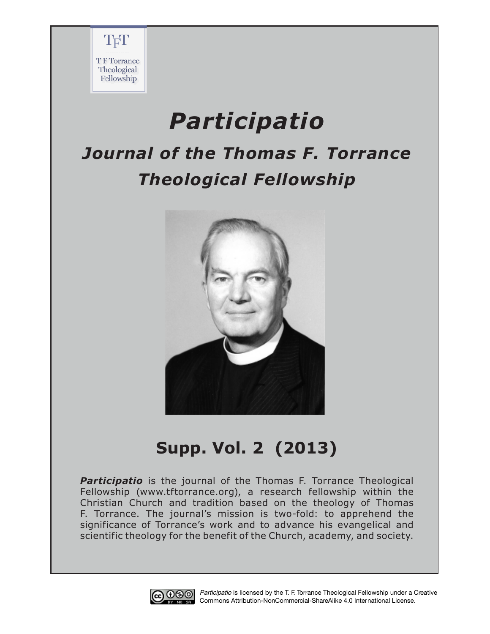

# *Participatio*

## *Journal of the Thomas F. Torrance Theological Fellowship*



### **Supp. Vol. 2 (2013)**

**Participatio** is the journal of the Thomas F. Torrance Theological Fellowship (www.tftorrance.org), a research fellowship within the Christian Church and tradition based on the theology of Thomas F. Torrance. The journal's mission is two-fold: to apprehend the significance of Torrance's work and to advance his evangelical and scientific theology for the benefit of the Church, academy, and society.



*Participatio* is licensed by the T. F. Torrance Theological Fellowship under a Creative Commons Attribution-NonCommercial-ShareAlike 4.0 International License.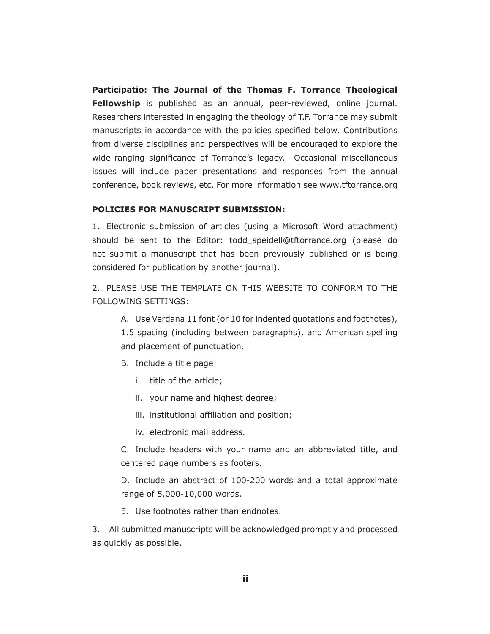**Participatio: The Journal of the Thomas F. Torrance Theological Fellowship** is published as an annual, peer-reviewed, online journal. Researchers interested in engaging the theology of T.F. Torrance may submit manuscripts in accordance with the policies specifed below. Contributions from diverse disciplines and perspectives will be encouraged to explore the wide-ranging signifcance of Torrance's legacy. Occasional miscellaneous issues will include paper presentations and responses from the annual conference, book reviews, etc. For more information see www.tftorrance.org

#### **POLICIES FOR MANUSCRIPT SUBMISSION:**

1. Electronic submission of articles (using a Microsoft Word attachment) should be sent to the Editor: todd\_speidell@tftorrance.org (please do not submit a manuscript that has been previously published or is being considered for publication by another journal).

2. PLEASE USE THE TEMPLATE ON THIS WEBSITE TO CONFORM TO THE FOLLOWING SETTINGS:

A. Use Verdana 11 font (or 10 for indented quotations and footnotes),

1.5 spacing (including between paragraphs), and American spelling and placement of punctuation.

- B. Include a title page:
	- i. title of the article;
	- ii. your name and highest degree;
	- iii. institutional affiliation and position;
	- iv. electronic mail address.

C. Include headers with your name and an abbreviated title, and centered page numbers as footers.

D. Include an abstract of 100-200 words and a total approximate range of 5,000-10,000 words.

E. Use footnotes rather than endnotes.

3. All submitted manuscripts will be acknowledged promptly and processed as quickly as possible.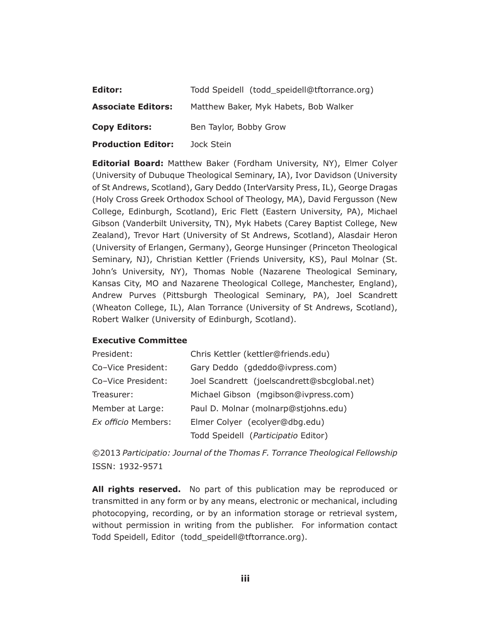| Editor:                   | Todd Speidell (todd_speidell@tftorrance.org) |
|---------------------------|----------------------------------------------|
| <b>Associate Editors:</b> | Matthew Baker, Myk Habets, Bob Walker        |
| <b>Copy Editors:</b>      | Ben Taylor, Bobby Grow                       |
| <b>Production Editor:</b> | Jock Stein                                   |

**Editorial Board:** Matthew Baker (Fordham University, NY), Elmer Colyer (University of Dubuque Theological Seminary, IA), Ivor Davidson (University of St Andrews, Scotland), Gary Deddo (InterVarsity Press, IL), George Dragas (Holy Cross Greek Orthodox School of Theology, MA), David Fergusson (New College, Edinburgh, Scotland), Eric Flett (Eastern University, PA), Michael Gibson (Vanderbilt University, TN), Myk Habets (Carey Baptist College, New Zealand), Trevor Hart (University of St Andrews, Scotland), Alasdair Heron (University of Erlangen, Germany), George Hunsinger (Princeton Theological Seminary, NJ), Christian Kettler (Friends University, KS), Paul Molnar (St. John's University, NY), Thomas Noble (Nazarene Theological Seminary, Kansas City, MO and Nazarene Theological College, Manchester, England), Andrew Purves (Pittsburgh Theological Seminary, PA), Joel Scandrett (Wheaton College, IL), Alan Torrance (University of St Andrews, Scotland), Robert Walker (University of Edinburgh, Scotland).

#### **Executive Committee**

| President:          | Chris Kettler (kettler@friends.edu)          |
|---------------------|----------------------------------------------|
| Co-Vice President:  | Gary Deddo (gdeddo@ivpress.com)              |
| Co-Vice President:  | Joel Scandrett (joelscandrett@sbcglobal.net) |
| Treasurer:          | Michael Gibson (mgibson@ivpress.com)         |
| Member at Large:    | Paul D. Molnar (molnarp@stjohns.edu)         |
| Ex officio Members: | Elmer Colyer (ecolyer@dbg.edu)               |
|                     | Todd Speidell (Participatio Editor)          |

©2013 *Participatio: Journal of the Thomas F. Torrance Theological Fellowship* ISSN: 1932-9571

**All rights reserved.** No part of this publication may be reproduced or transmitted in any form or by any means, electronic or mechanical, including photocopying, recording, or by an information storage or retrieval system, without permission in writing from the publisher. For information contact Todd Speidell, Editor (todd\_speidell@tftorrance.org).